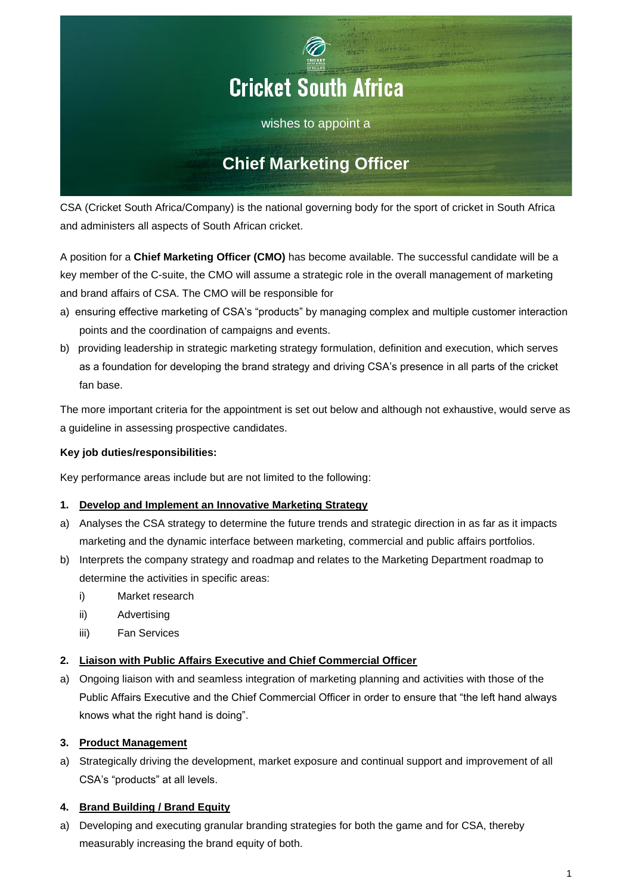

CSA (Cricket South Africa/Company) is the national governing body for the sport of cricket in South Africa and administers all aspects of South African cricket.

A position for a **Chief Marketing Officer (CMO)** has become available. The successful candidate will be a key member of the C-suite, the CMO will assume a strategic role in the overall management of marketing and brand affairs of CSA. The CMO will be responsible for

- a) ensuring effective marketing of CSA's "products" by managing complex and multiple customer interaction points and the coordination of campaigns and events.
- b) providing leadership in strategic marketing strategy formulation, definition and execution, which serves as a foundation for developing the brand strategy and driving CSA's presence in all parts of the cricket fan base.

The more important criteria for the appointment is set out below and although not exhaustive, would serve as a guideline in assessing prospective candidates.

# **Key job duties/responsibilities:**

Key performance areas include but are not limited to the following:

# **1. Develop and Implement an Innovative Marketing Strategy**

- a) Analyses the CSA strategy to determine the future trends and strategic direction in as far as it impacts marketing and the dynamic interface between marketing, commercial and public affairs portfolios.
- b) Interprets the company strategy and roadmap and relates to the Marketing Department roadmap to determine the activities in specific areas:
	- i) Market research
	- ii) Advertising
	- iii) Fan Services

# **2. Liaison with Public Affairs Executive and Chief Commercial Officer**

a) Ongoing liaison with and seamless integration of marketing planning and activities with those of the Public Affairs Executive and the Chief Commercial Officer in order to ensure that "the left hand always knows what the right hand is doing".

# **3. Product Management**

a) Strategically driving the development, market exposure and continual support and improvement of all CSA's "products" at all levels.

# **4. Brand Building / Brand Equity**

a) Developing and executing granular branding strategies for both the game and for CSA, thereby measurably increasing the brand equity of both.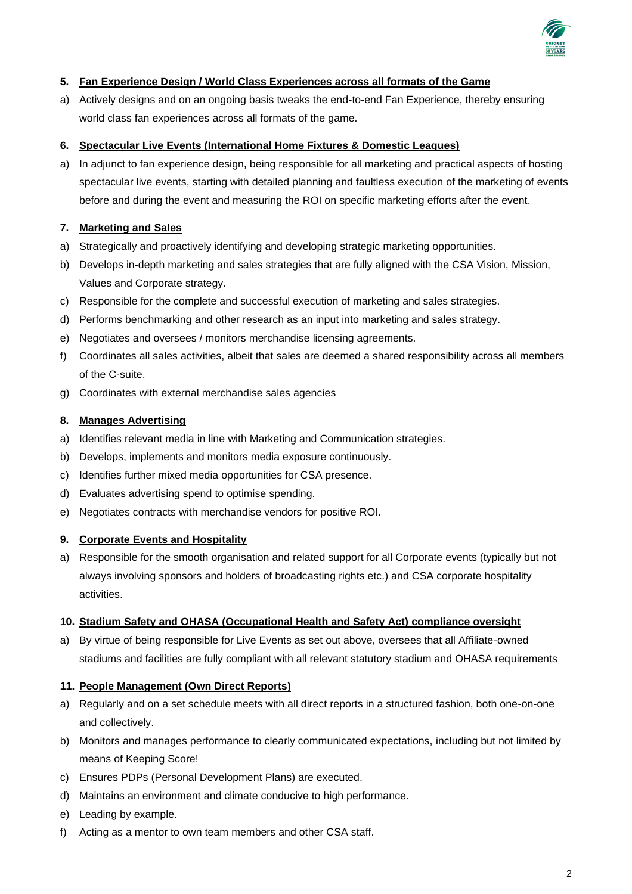

## **5. Fan Experience Design / World Class Experiences across all formats of the Game**

a) Actively designs and on an ongoing basis tweaks the end-to-end Fan Experience, thereby ensuring world class fan experiences across all formats of the game.

### **6. Spectacular Live Events (International Home Fixtures & Domestic Leagues)**

a) In adjunct to fan experience design, being responsible for all marketing and practical aspects of hosting spectacular live events, starting with detailed planning and faultless execution of the marketing of events before and during the event and measuring the ROI on specific marketing efforts after the event.

## **7. Marketing and Sales**

- a) Strategically and proactively identifying and developing strategic marketing opportunities.
- b) Develops in-depth marketing and sales strategies that are fully aligned with the CSA Vision, Mission, Values and Corporate strategy.
- c) Responsible for the complete and successful execution of marketing and sales strategies.
- d) Performs benchmarking and other research as an input into marketing and sales strategy.
- e) Negotiates and oversees / monitors merchandise licensing agreements.
- f) Coordinates all sales activities, albeit that sales are deemed a shared responsibility across all members of the C-suite.
- g) Coordinates with external merchandise sales agencies

#### **8. Manages Advertising**

- a) Identifies relevant media in line with Marketing and Communication strategies.
- b) Develops, implements and monitors media exposure continuously.
- c) Identifies further mixed media opportunities for CSA presence.
- d) Evaluates advertising spend to optimise spending.
- e) Negotiates contracts with merchandise vendors for positive ROI.

#### **9. Corporate Events and Hospitality**

a) Responsible for the smooth organisation and related support for all Corporate events (typically but not always involving sponsors and holders of broadcasting rights etc.) and CSA corporate hospitality activities.

#### **10. Stadium Safety and OHASA (Occupational Health and Safety Act) compliance oversight**

a) By virtue of being responsible for Live Events as set out above, oversees that all Affiliate-owned stadiums and facilities are fully compliant with all relevant statutory stadium and OHASA requirements

### **11. People Management (Own Direct Reports)**

- a) Regularly and on a set schedule meets with all direct reports in a structured fashion, both one-on-one and collectively.
- b) Monitors and manages performance to clearly communicated expectations, including but not limited by means of Keeping Score!
- c) Ensures PDPs (Personal Development Plans) are executed.
- d) Maintains an environment and climate conducive to high performance.
- e) Leading by example.
- f) Acting as a mentor to own team members and other CSA staff.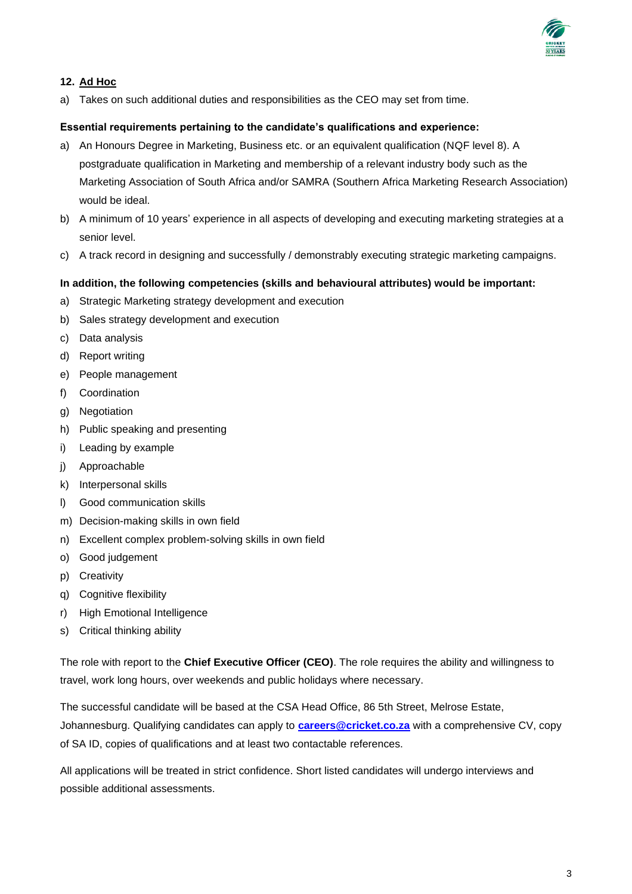

# **12. Ad Hoc**

a) Takes on such additional duties and responsibilities as the CEO may set from time.

## **Essential requirements pertaining to the candidate's qualifications and experience:**

- a) An Honours Degree in Marketing, Business etc. or an equivalent qualification (NQF level 8). A postgraduate qualification in Marketing and membership of a relevant industry body such as the Marketing Association of South Africa and/or SAMRA (Southern Africa Marketing Research Association) would be ideal.
- b) A minimum of 10 years' experience in all aspects of developing and executing marketing strategies at a senior level.
- c) A track record in designing and successfully / demonstrably executing strategic marketing campaigns.

## **In addition, the following competencies (skills and behavioural attributes) would be important:**

- a) Strategic Marketing strategy development and execution
- b) Sales strategy development and execution
- c) Data analysis
- d) Report writing
- e) People management
- f) Coordination
- g) Negotiation
- h) Public speaking and presenting
- i) Leading by example
- j) Approachable
- k) Interpersonal skills
- l) Good communication skills
- m) Decision-making skills in own field
- n) Excellent complex problem-solving skills in own field
- o) Good judgement
- p) Creativity
- q) Cognitive flexibility
- r) High Emotional Intelligence
- s) Critical thinking ability

The role with report to the **Chief Executive Officer (CEO)**. The role requires the ability and willingness to travel, work long hours, over weekends and public holidays where necessary.

The successful candidate will be based at the CSA Head Office, 86 5th Street, Melrose Estate, Johannesburg. Qualifying candidates can apply to **[careers@cricket.co.za](mailto:careers@cricket.co.za)** with a comprehensive CV, copy of SA ID, copies of qualifications and at least two contactable references.

All applications will be treated in strict confidence. Short listed candidates will undergo interviews and possible additional assessments.